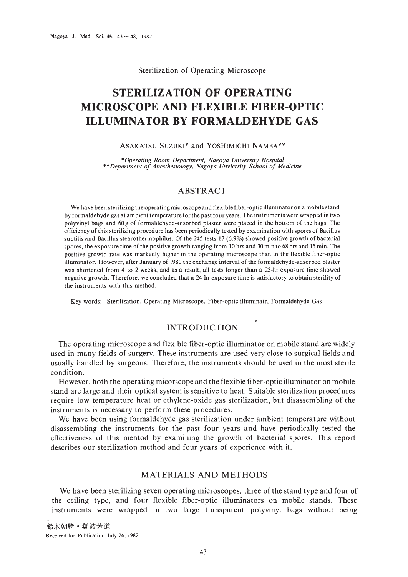#### Sterilization of Operating Microscope

# **STERILIZATION OF OPERATING MICROSCOPE AND FLEXIBLE FIBER-OPTIC ILLUMINATOR BY FORMALDEHYDE GAS**

## ASAKATSU SUZUKl\* and YOSHlMICHl NAMBA\*\*

*\*Operating Room Department, Nagoya University Hospital* \*\**Department of Anesthesiology, Nagoya Unviersity School of Medicine*

# ABSTRACT

We have been sterilizing the operating microscope and flexible fiber-optic illuminator on a mobile stand by formaldehyde gas at ambient temperature for the past four years. The instruments were wrapped in two polyvinyl bags and 60 g of formaldehyde-adsorbed plaster were placed in the bottom of the bags. The efficiency of this sterilizing procedure has been periodically tested by examination with spores of Bacillus subtilis and Bacillus stearothermophilus. Of the 245 tests 17 (6.9%) showed positive growth of bacterial spores, the exposure time of the positive growth ranging from 10 hrs and 30 min to 68 hrs and 15 min. The positive growth rate was markedly higher in the operating microscope than in the flexible fiber-optic illuminator. However, after January of 1980 the exchange interval of the formaldehyde-adsorbed plaster was shortened from 4 to 2 weeks, and as a result, all tests longer than a 25-hr exposure time showed negative growth. Therefore, we concluded that a 24-hr exposure time is satisfactory to obtain sterility of the instruments with this method.

Key words: Sterilization, Operating Microscope, Fiber-optic illuminatr, Formaldehyde Gas

# INTRODUCTION

The operating microscope and flexible fiber-optic illuminator on mobile stand are widely used in many fields of surgery. These instruments are used very close to surgical fields and usually handled by surgeons. Therefore, the instruments should be used in the most sterile condition.

However, both the operating micorscope and the flexible fiber-optic illuminator on mobile stand are large and their optical system is sensitive to heat. Suitable sterilization procedures require low temperature heat or ethylene-oxide gas sterilization, but disassembling of the instruments is necessary to perform these procedures.

We have been using formaldehyde gas sterilization under ambient temperature without disassembling the instruments for the past four years and have periodically tested the effectiveness of this mehtod by examining the growth of bacterial spores. This report describes our sterilization method and four years of experience with it.

# MATERIALS AND METHODS

We have been sterilizing seven operating microscopes, three of the stand type and four of the ceiling type, and four flexible fiber-optic illuminators on mobile stands. These instruments were wrapped in two large transparent polyvinyl bags without being

鈴木朝勝·難波芳道 Received for Publication July 26, 1982.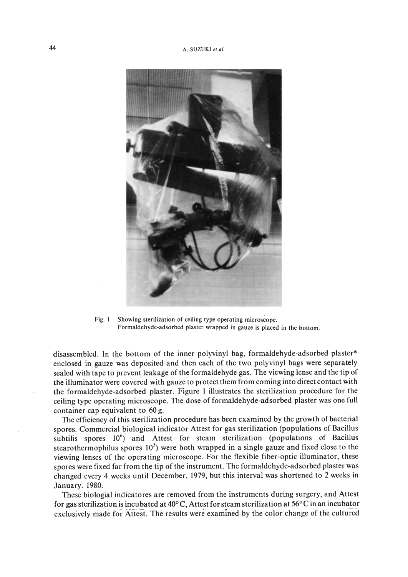

Fig. I Showing sterilization of ceiling type operating microscope. Formaldehyde-adsorbed plaster wrapped in gauze is placed in the bottom.

disassembled. In the bottom of the inner polyvinyl bag, formaldehyde-adsorbed plaster\* enclosed in gauze was deposited and then each of the two polyvinyl bags were separately sealed with tape to prevent leakage of the formaldehyde gas. The viewing lense and the tip of the illuminator were covered with gauze to protect them from coming into direct contact with the formaldehyde-adsorbed plaster. Figure I illustrates the sterilization procedure for the ceiling type operating microscope. The dose of formaldehyde-adsorbed plaster was one full container cap equivalent to 60 g.

The efficiency of this sterilization procedure has been examined by the growth of bacterial spores. Commercial biological indicator Attest for gas sterilization (populations of Bacillus subtilis spores  $10^6$ ) and Attest for steam sterilization (populations of Bacillus stearothermophilus spores  $10<sup>5</sup>$ ) were both wrapped in a single gauze and fixed close to the viewing lenses of the operating microscope. For the flexible fiber-optic illuminator, these spores were fixed far from the tip of the instrument. The formaldehyde-adsorbed plaster was changed every 4 weeks until December, 1979, but this interval was shortened to 2 weeks in January. 1980.

These biologial indicatores are removed from the instruments during surgery, and Attest for gas sterilization is incubated at 40°C, Attest for steam sterilization at 56°C in an incubator exclusively made for Attest. The results were examined by the color change of the cultured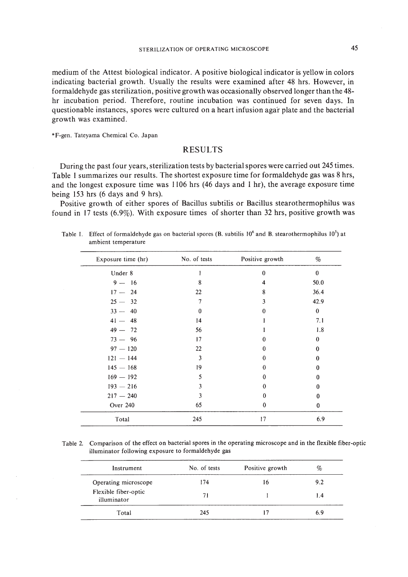medium of the Attest biological indicator. A positive biological indicator is yellow in colors indicating bacterial growth. Usually the results were examined after 48 hrs. However, in formaldehyde gas sterilization, positive growth was occasionally observed longer than the 48 hr incubation period. Therefore, routine incubation was continued for seven days. **In** questionable instances, spores were cultured on a heart infusion agar plate and the bacterial growth was examined.

\*F-gen. Tateyama Chemical Co. Japan

## RESULTS

During the past four years, sterilization tests by bacterial spores were carried out 245 times. Table I summarizes our results. The shortest exposure time for formaldehyde gas was 8 hrs, and the longest exposure time was 1106 hrs (46 days and I hr), the average exposure time being 153 hrs (6 days and 9 hrs).

Positive growth of either spores of Bacillus subtilis or Bacillus stearothermophilus was found in 17 tests (6.9%). With exposure times of shorter than 32 hrs, positive growth was

| Exposure time (hr) | No. of tests | Positive growth | %        |
|--------------------|--------------|-----------------|----------|
| Under 8            |              | $\bf{0}$        | $\bf{0}$ |
| $9 - 16$           | 8            | 4               | 50.0     |
| $17 - 24$          | 22           | 8               | 36.4     |
| $25 - 32$          | 7            | 3               | 42.9     |
| $33 - 40$          | $\theta$     | 0               | $\bf{0}$ |
| $41 - 48$          | 14           |                 | 7.1      |
| $49 - 72$          | 56           |                 | 1.8      |
| $73 - 96$          | 17           | 0               | $\theta$ |
| $97 - 120$         | 22           | 0               | 0        |
| $121 - 144$        | 3            | $\theta$        | 0        |
| $145 - 168$        | 19           | $\theta$        | 0        |
| $169 - 192$        | 5            | $\bf{0}$        | 0        |
| $193 - 216$        | 3            | $\Omega$        | 0        |
| $217 - 240$        | 3            | $\Omega$        | 0        |
| Over 240           | 65           | $\Omega$        | 0        |
| Total              | 245          | 17              | 6.9      |

Table 1. Effect of formaldehyde gas on bacterial spores (B. subtilis 10<sup>6</sup> and B. stearothermophilus 10<sup>5</sup>) at ambient temperature

Table 2. Comparison of the effect on bacterial spores in the operating microscope and in the flexible fiber-optic illuminator following exposure to formaldehyde gas

| Instrument                          | No. of tests | Positive growth | %   |
|-------------------------------------|--------------|-----------------|-----|
| Operating microscope                | 174          | 16              | 9.2 |
| Flexible fiber-optic<br>illuminator | 71           |                 | 1.4 |
| Total                               | 245          |                 | 6.9 |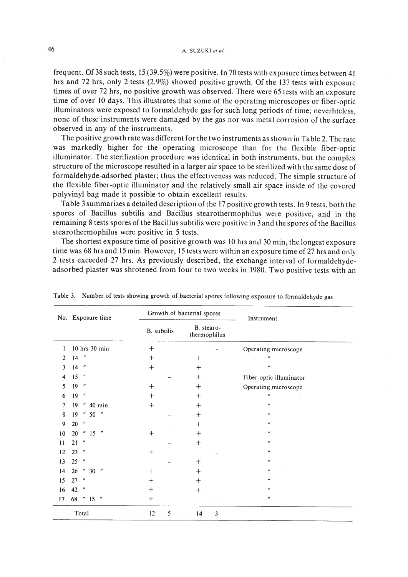frequent. Of 38 such tests, 15 (39.5%) were positive. In 70 tests with exposure times between 41 hrs and 72 hrs, only 2 tests (2.9%) showed positive growth. Of the 137 tests with exposure times of over 72 hrs, no positive growth was observed. There were 65 tests with an exposure time of over 10 days. This illustrates that some of the operating microscopes or fiber-optic illuminators were exposed to formaldehyde gas for such long periods of time; neverhteless, none of these instruments were damaged by the gas nor was metal corrosion of the surface observed in any of the instruments.

The positive growth rate was different for the two instruments as shown in Table 2. The rate was markedly higher for the operating microscope than for the flexible fiber-optic illuminator. The sterilization procedure was identical in both instruments, but the complex structure of the microscope resulted in a larger air space to be sterilized with the same dose of formaldehyde-adsorbed plaster; thus the effectiveness was reduced. The simple structure of the flexible fiber-optic illuminator and the relatively small air space inside of the covered polyvinyl bag made it possible to obtain excellent results.

Table 3summarizes a detailed description ofthe 17 positive growth tests. In 9 tests, both the spores of Bacillus subtilis and Bacillus stearothermophilus were positive, and in the remaining 8 tests spores ofthe Bacillus subtilis were positive in 3and the spores ofthe Bacillus stearothermophilus were positive in 5 tests.

The shortest exposure time of positive growth was 10 hrs and 30 min, the longest exposure time was 68 hrs and 15 min. However, 15 tests were within an exposure time of 27 hrs and only 2 tests exceeded 27 hrs. As previously described, the exchange interval of formaldehydeadsorbed plaster was shrotened from four to two weeks in 1980. Two positive tests with an

|    | No. Exposure time                     |             | Growth of bacterial spores | Instrument                  |
|----|---------------------------------------|-------------|----------------------------|-----------------------------|
|    |                                       | B. subtilis | B. stearo-<br>thermophilus |                             |
| 1  | 10 hrs 30 min                         | $^{+}$      |                            | Operating microscope        |
| 2  | $\pmb{\mathcal{W}}$<br>14             | $^{+}$      | $^{+}$                     | $^{\prime\prime}$           |
| 3  | $^{\prime\prime}$<br>14               | $+$         | $^{+}$                     | $\boldsymbol{\prime\prime}$ |
| 4  | 15<br>$^{\prime\prime}$               |             | $^{+}$                     | Fiber-optic illuminator     |
| 5  | 19<br>$^{\prime\prime}$               | $+$         | $^{+}$                     | Operating microscope        |
| 6  | 19<br>$\boldsymbol{\prime\prime}$     | $^{+}$      | $^{+}$                     | $^{\prime\prime}$           |
| 7  | $\boldsymbol{\prime}$<br>19<br>40 min | $^{+}$      | $\pm$                      | $^{\prime\prime}$           |
| 8  | $\boldsymbol{n}$<br>19<br>$50$ "      |             | $^{+}$                     | $^{\prime\prime}$           |
| 9  | $\boldsymbol{\prime\prime}$<br>20     |             | $^{+}$                     | $^{\prime\prime}$           |
| 10 | "15"<br>20                            | $+$         | $^+$                       | $^{\prime\prime}$           |
| 11 | $\boldsymbol{\prime\prime}$<br>21     |             | $^{+}$                     | $^{\prime\prime}$           |
| 12 | $^{\prime\prime}$<br>23               | $^{+}$      |                            | $\boldsymbol{\prime\prime}$ |
| 13 | 25<br>$^{\prime\prime}$               |             | $^{+}$                     | $^{\prime\prime}$           |
| 14 | " 30"<br>26                           | $^{+}$      | $^{+}$                     | $^{\prime\prime}$           |
| 15 | 27<br>$^{\prime\prime}$               | $^{+}$      | $\ddot{}$                  | $^{\prime\prime}$           |
| 16 | 42<br>$\boldsymbol{\prime\prime}$     | $\,+\,$     | $^{+}$                     | $^{\prime\prime}$           |
| 17 | 68<br>"15"                            | $^{+}$      |                            | $^{\prime\prime}$           |
|    | Total                                 | 5<br>12     | 3<br>14                    |                             |

Table 3. Number of tests showing growth of bacterial spores following exposure to formaldehyde gas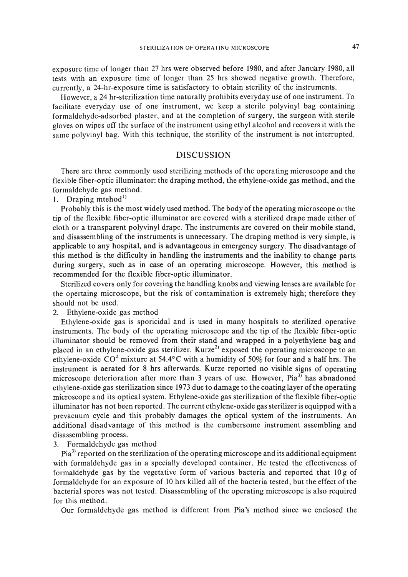exposure time of longer than 27 hrs were observed before 1980, and after January 1980, all tests with an exposure time of longer than 25 hrs showed negative growth. Therefore, currently, a 24-hr-exposure time is satisfactory to obtain sterility of the instruments.

However, a 24 hr-sterilization time naturally prohibits everyday use of one instrument. To facilitate everyday use of one instrument, we keep a sterile polyvinyl bag containing formaldehyde-adsorbed plaster, and at the completion of surgery, the surgeon with sterile gloves on wipes off the surface of the instrument using ethyl alcohol and recovers it with the same polyvinyl bag. With this technique, the sterility of the instrument is not interrupted.

#### DISCUSSION

There are three commonly used sterilizing methods of the operating microscope and the flexible fiber-optic illuminator: the draping method, the ethylene-oxide gas method, and the formaldehyde gas method.

1. Draping mtehod<sup>1)</sup>

Probably this is the most widely used method. The body of the operating microscope or the tip of the flexible fiber-optic illuminator are covered with a sterilized drape made either of cloth or a transparent polyvinyl drape. The instruments are covered on their mobile stand, and disassembling of the instruments is unnecessary. The draping method is very simple, is applicable to any hospital, and is advantageous in emergency surgery. The disadvantage of this method is the difficulty in handling the instruments and the inability to change parts during surgery, such as in case of an operating microscope. However, this method is recommended for the flexible fiber-optic illuminator.

Sterilized covers only for covering the handling knobs and viewing lenses are available for the opertaing microscope, but the risk of contamination is extremely high; therefore they should not be used.

2. Ethylene-oxide gas method

Ethylene-oxide gas is sporicidal and is used in many hospitals to sterilized operative instruments. The body of the operating microscope and the tip of the flexible fiber-optic illuminator should be removed from their stand and wrapped in a polyethylene bag and placed in an ethylene-oxide gas sterilizer. Kurze<sup>2)</sup> exposed the operating microscope to an ethylene-oxide  $CO^2$  mixture at 54.4°C with a humidity of 50% for four and a half hrs. The instrument is aerated for 8 hrs afterwards. Kurze reported no visible signs of operating microscope deterioration after more than 3 years of use. However, Pia<sup>3)</sup> has abnadoned ethylene-oxide gas sterilization since 1973 due to damage to the coating layer of the operating microscope and its optical system. Ethylene-oxide gas sterilization of the flexible fiber-optic illuminator has not been reported. The current ethylene-oxide gas sterilizer is equipped with a prevacuum cycle and this probably damages the optical system of the instruments. An additional disadvantage of this method is the cumbersome instrument assembling and disassembling process.

3. Formaldehyde gas method

Pia<sup>3)</sup> reported on the sterilization of the operating microscope and its additional equipment with formaldehyde gas in a specially developed container. He tested the effectiveness of formaldehyde gas by the vegetative form of various bacteria and reported that 10 g of formaldehyde for an exposure of 10 hrs killed all of the bacteria tested, but the effect of the bacterial spores was not tested. Disassembling of the operating microscope is also required for this method.

Our formaldehyde gas method is different from Pia's method since we enclosed the